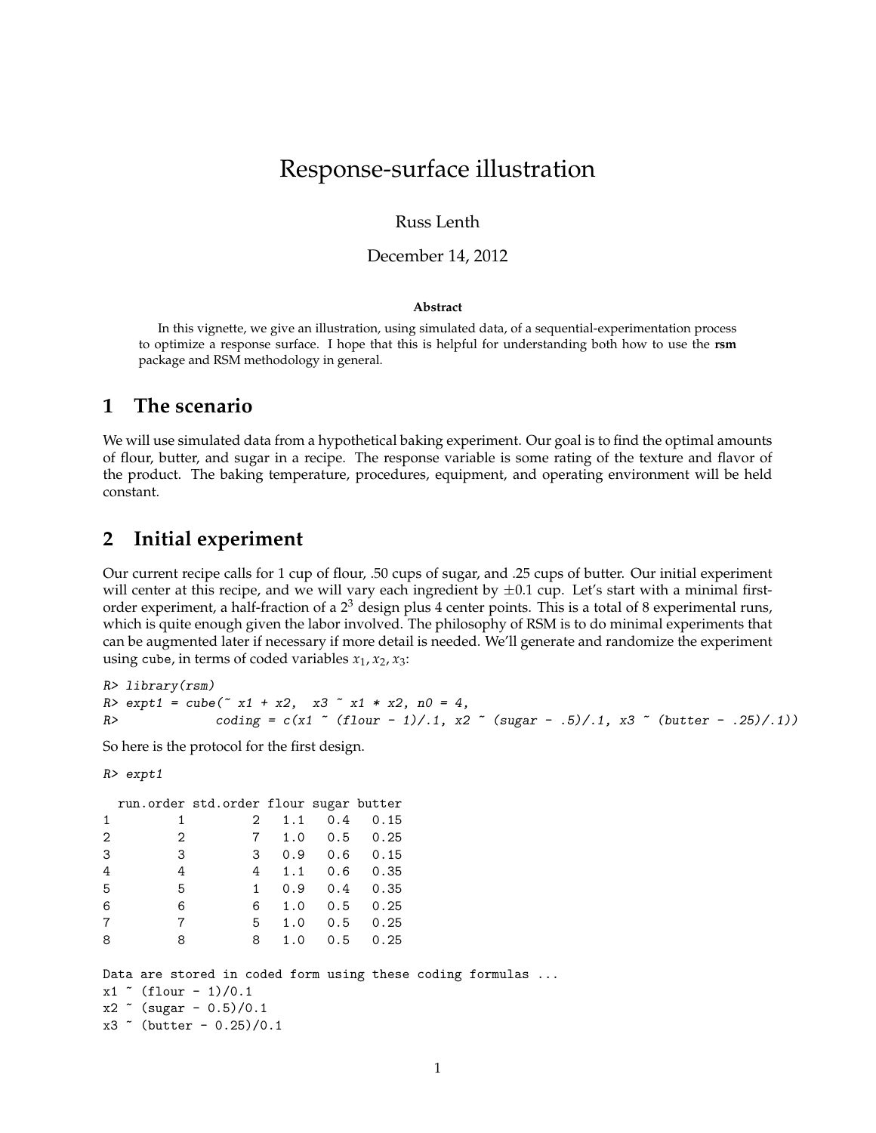# Response-surface illustration

#### Russ Lenth

#### December 14, 2012

#### **Abstract**

In this vignette, we give an illustration, using simulated data, of a sequential-experimentation process to optimize a response surface. I hope that this is helpful for understanding both how to use the **rsm** package and RSM methodology in general.

## **1 The scenario**

We will use simulated data from a hypothetical baking experiment. Our goal is to find the optimal amounts of flour, butter, and sugar in a recipe. The response variable is some rating of the texture and flavor of the product. The baking temperature, procedures, equipment, and operating environment will be held constant.

## **2 Initial experiment**

Our current recipe calls for 1 cup of flour, .50 cups of sugar, and .25 cups of butter. Our initial experiment will center at this recipe, and we will vary each ingredient by  $\pm 0.1$  cup. Let's start with a minimal firstorder experiment, a half-fraction of a  $2<sup>3</sup>$  design plus 4 center points. This is a total of 8 experimental runs, which is quite enough given the labor involved. The philosophy of RSM is to do minimal experiments that can be augmented later if necessary if more detail is needed. We'll generate and randomize the experiment using cube, in terms of coded variables  $x_1$ ,  $x_2$ ,  $x_3$ :

R> library(rsm)  $R > \text{expt1} = \text{cube}(\text{X1} + \text{X2}, \text{X3} \text{X1} \text{X2}, \text{X2}, \text{A0} = 4,$ R> coding = c(x1  $\degree$  (flour - 1)/.1, x2  $\degree$  (sugar - .5)/.1, x3  $\degree$  (butter - .25)/.1))

So here is the protocol for the first design.

```
R> expt1
```

|   |                          | run.order std.order flour sugar butter                                                                                            |          |                                 |  |  |
|---|--------------------------|-----------------------------------------------------------------------------------------------------------------------------------|----------|---------------------------------|--|--|
| 1 |                          | 2                                                                                                                                 | 1.1      | $0.4 \quad 0.15$                |  |  |
| 2 | 2                        |                                                                                                                                   |          | 7 1.0 0.5 0.25                  |  |  |
| 3 | 3                        |                                                                                                                                   |          | 30.90.60.15                     |  |  |
| 4 | 4                        |                                                                                                                                   |          | 4 1.1 0.6 0.35                  |  |  |
| 5 | 5                        |                                                                                                                                   |          | $1 \t 0.9 \t 0.4 \t 0.35$       |  |  |
| 6 | 6                        |                                                                                                                                   |          | 6 1.0 0.5 0.25                  |  |  |
| 7 | $\overline{7}$           |                                                                                                                                   |          | $5\quad 1.0\quad 0.5\quad 0.25$ |  |  |
| 8 | 8                        |                                                                                                                                   | 8<br>1.0 | $0.5 \t 0.25$                   |  |  |
|   | $x1$ $($ flour $-1)/0.1$ | Data are stored in coded form using these coding formulas<br>$x2 \text{ (sugar - 0.5)}/0.1$<br>$x3$ $\degree$ (butter - 0.25)/0.1 |          |                                 |  |  |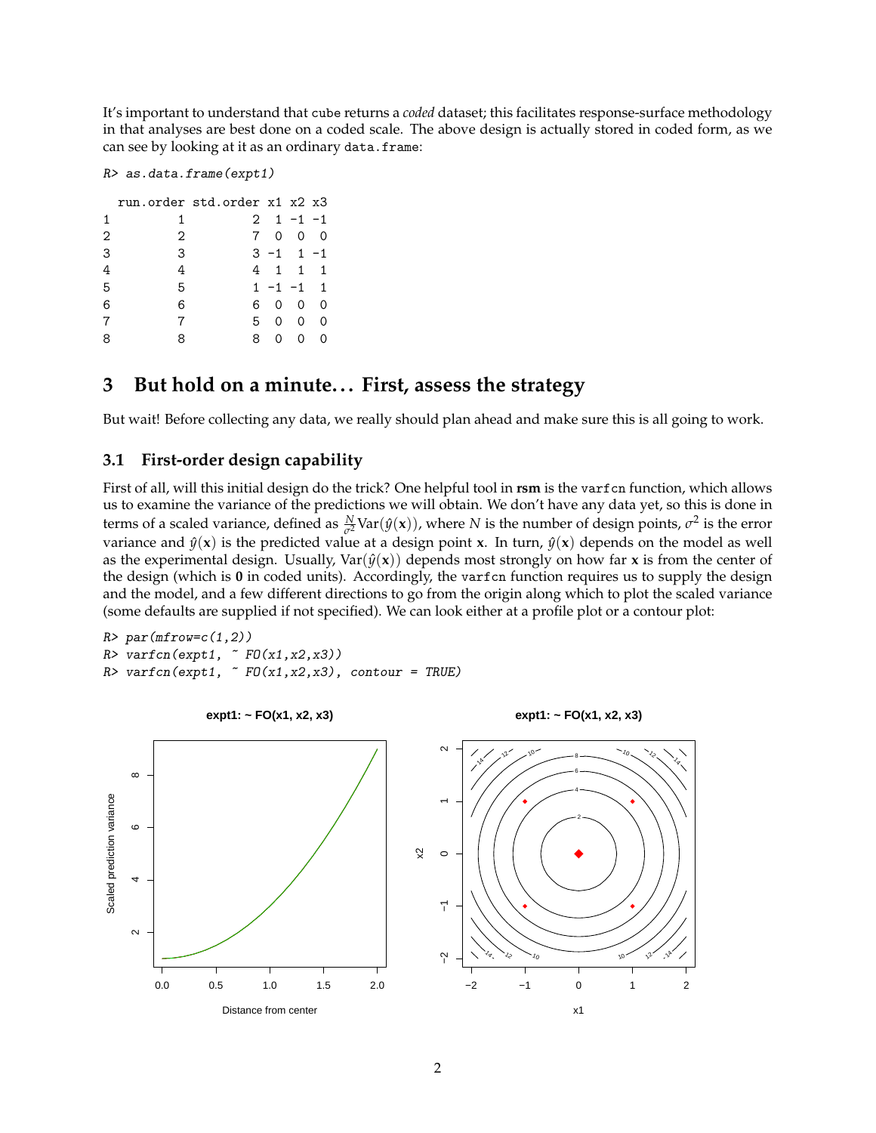It's important to understand that cube returns a *coded* dataset; this facilitates response-surface methodology in that analyses are best done on a coded scale. The above design is actually stored in coded form, as we can see by looking at it as an ordinary data.frame:

R> as.data.frame(expt1)

|                |   | run.order std.order x1 x2 x3 |          |                   |          |
|----------------|---|------------------------------|----------|-------------------|----------|
| 1              |   |                              |          | $2 \t1 - 1 - 1$   |          |
| $\overline{2}$ | 2 | $7^{\circ}$                  |          | $0\quad 0\quad 0$ |          |
| 3              | 3 |                              |          | $3 - 1$ 1 $-1$    |          |
| 4              | 4 |                              |          | 4 1 1 1           |          |
| 5              | 5 |                              |          | $1 - 1 - 1$ 1     |          |
| 6              | 6 | 6.                           | $\Omega$ | $\Omega$          | $\Omega$ |
|                |   | 5.                           | $\Omega$ | $\Omega$          | $\Omega$ |
|                |   | 8                            | 0        | ∩                 | ∩        |

## **3** But hold on a minute... First, assess the strategy

But wait! Before collecting any data, we really should plan ahead and make sure this is all going to work.

### **3.1 First-order design capability**

First of all, will this initial design do the trick? One helpful tool in **rsm** is the varfcn function, which allows us to examine the variance of the predictions we will obtain. We don't have any data yet, so this is done in terms of a scaled variance, defined as  $\frac{N}{\sigma^2}$ Var $(\hat{y}(x))$ , where *N* is the number of design points,  $\sigma^2$  is the error variance and  $\hat{y}(\mathbf{x})$  is the predicted value at a design point **x**. In turn,  $\hat{y}(\mathbf{x})$  depends on the model as well as the experimental design. Usually,  $Var(\hat{y}(x))$  depends most strongly on how far **x** is from the center of the design (which is **0** in coded units). Accordingly, the varfcn function requires us to supply the design and the model, and a few different directions to go from the origin along which to plot the scaled variance (some defaults are supplied if not specified). We can look either at a profile plot or a contour plot:

 $R > par(mfrow=c(1,2))$  $R$ > varfcn(expt1,  $\sim$  FO(x1,x2,x3))  $R$ > varfcn(expt1,  $\sim$  FO(x1,x2,x3), contour = TRUE)

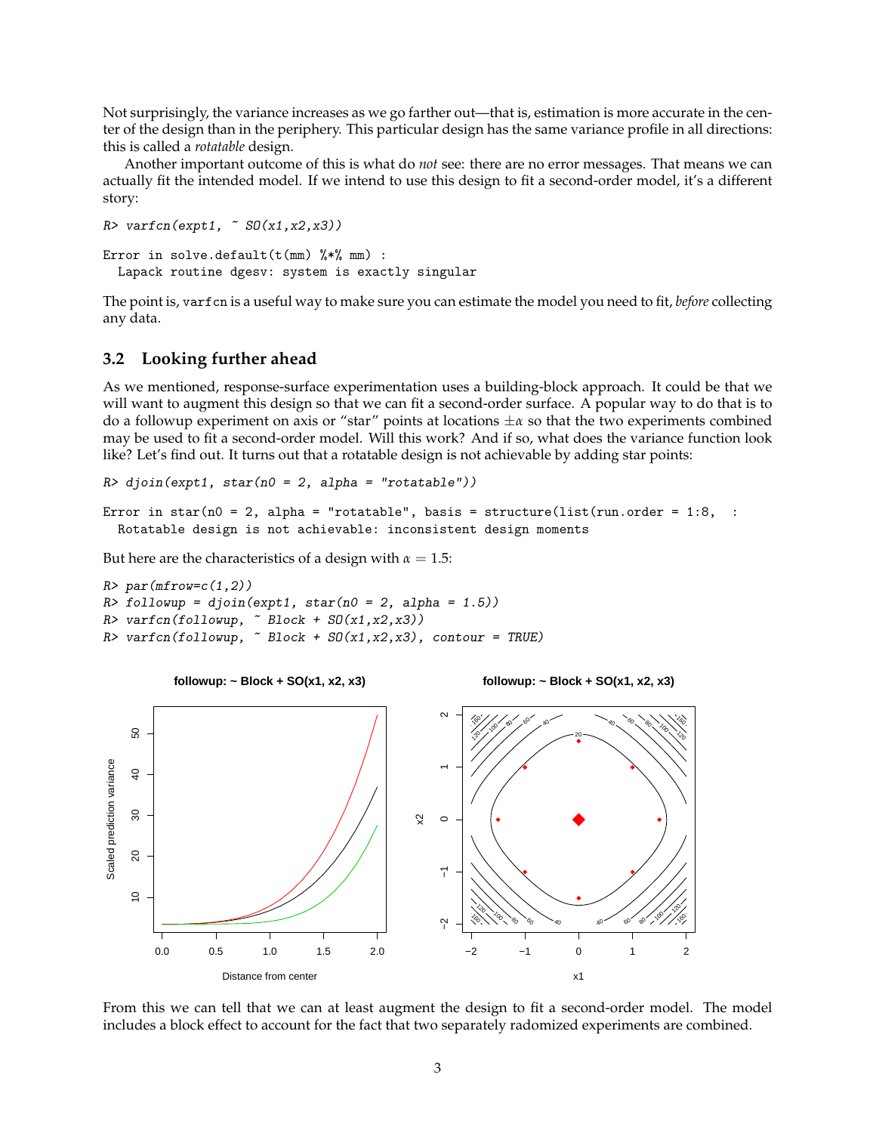Not surprisingly, the variance increases as we go farther out—that is, estimation is more accurate in the center of the design than in the periphery. This particular design has the same variance profile in all directions: this is called a *rotatable* design.

Another important outcome of this is what do *not* see: there are no error messages. That means we can actually fit the intended model. If we intend to use this design to fit a second-order model, it's a different story:

```
R> varfcn(expt1, ~ SO(x1, x2, x3))
Error in solve.default(t(mm) \frac{9}{8}*) mm) :
  Lapack routine dgesv: system is exactly singular
```
The point is, varfcn is a useful way to make sure you can estimate the model you need to fit, *before* collecting any data.

#### <span id="page-2-0"></span>**3.2 Looking further ahead**

As we mentioned, response-surface experimentation uses a building-block approach. It could be that we will want to augment this design so that we can fit a second-order surface. A popular way to do that is to do a followup experiment on axis or "star" points at locations ±*α* so that the two experiments combined may be used to fit a second-order model. Will this work? And if so, what does the variance function look like? Let's find out. It turns out that a rotatable design is not achievable by adding star points:

```
R> djoin(expt1, star(n0 = 2, alpha = "rotatable"))
```

```
Error in star(n0 = 2, alpha = "rotatable", basis = structure(list(run.order = 1:8, :
  Rotatable design is not achievable: inconsistent design moments
```
But here are the characteristics of a design with  $\alpha = 1.5$ :

```
R> par(mfrow=c(1,2))
R> followup = djoin(expt1, star(n0 = 2, alpha = 1.5))
R> varfcn(followup, \sim Block + SO(x1, x2, x3))
R> varfcn(followup, \tilde{B} Block + SO(x1,x2,x3), contour = TRUE)
```


From this we can tell that we can at least augment the design to fit a second-order model. The model includes a block effect to account for the fact that two separately radomized experiments are combined.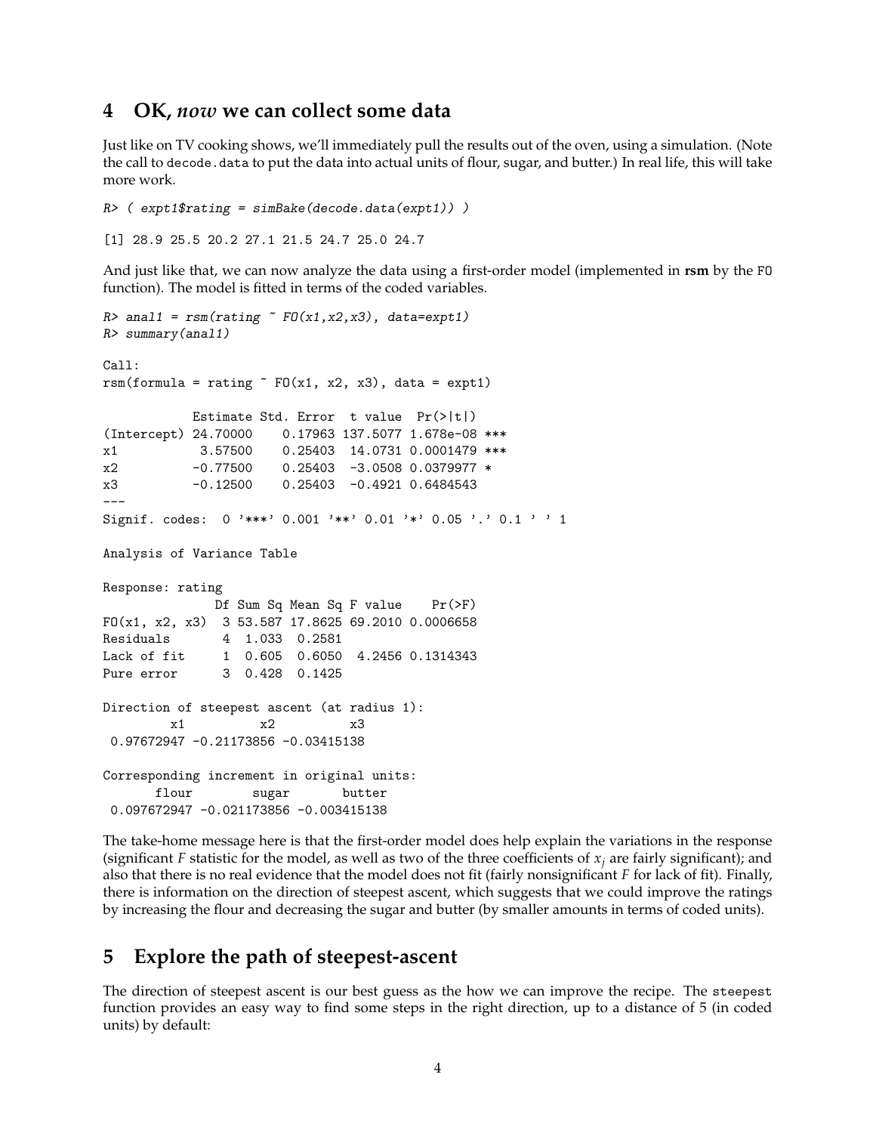## **4 OK,** *now* **we can collect some data**

Just like on TV cooking shows, we'll immediately pull the results out of the oven, using a simulation. (Note the call to decode.data to put the data into actual units of flour, sugar, and butter.) In real life, this will take more work.

```
R ( expt1$rating = simBake(decode.data(expt1)) )
```
[1] 28.9 25.5 20.2 27.1 21.5 24.7 25.0 24.7

And just like that, we can now analyze the data using a first-order model (implemented in **rsm** by the FO function). The model is fitted in terms of the coded variables.

```
R> anal1 = rsm(rating \text{ } ^{\sim} F0(x1, x2, x3), data=expt1)
R> summary(anal1)
Call:
rsm(formula = rating \tilde{r} FO(x1, x2, x3), data = expt1)
           Estimate Std. Error t value Pr(>|t|)
(Intercept) 24.70000 0.17963 137.5077 1.678e-08 ***
x1 3.57500 0.25403 14.0731 0.0001479 ***
x2 -0.77500 0.25403 -3.0508 0.0379977 *
x3 -0.12500 0.25403 -0.4921 0.6484543
---
Signif. codes: 0 '***' 0.001 '**' 0.01 '*' 0.05 '.' 0.1 ' ' 1
Analysis of Variance Table
Response: rating
             Df Sum Sq Mean Sq F value Pr(>F)
FO(x1, x2, x3) 3 53.587 17.8625 69.2010 0.0006658
Residuals 4 1.033 0.2581
Lack of fit 1 0.605 0.6050 4.2456 0.1314343
Pure error 3 0.428 0.1425
Direction of steepest ascent (at radius 1):
        x1 x2 x3
0.97672947 -0.21173856 -0.03415138
Corresponding increment in original units:
      flour sugar butter
0.097672947 -0.021173856 -0.003415138
```
The take-home message here is that the first-order model does help explain the variations in the response (significant *F* statistic for the model, as well as two of the three coefficients of  $x_j$  are fairly significant); and also that there is no real evidence that the model does not fit (fairly nonsignificant *F* for lack of fit). Finally, there is information on the direction of steepest ascent, which suggests that we could improve the ratings by increasing the flour and decreasing the sugar and butter (by smaller amounts in terms of coded units).

## **5 Explore the path of steepest-ascent**

The direction of steepest ascent is our best guess as the how we can improve the recipe. The steepest function provides an easy way to find some steps in the right direction, up to a distance of 5 (in coded units) by default: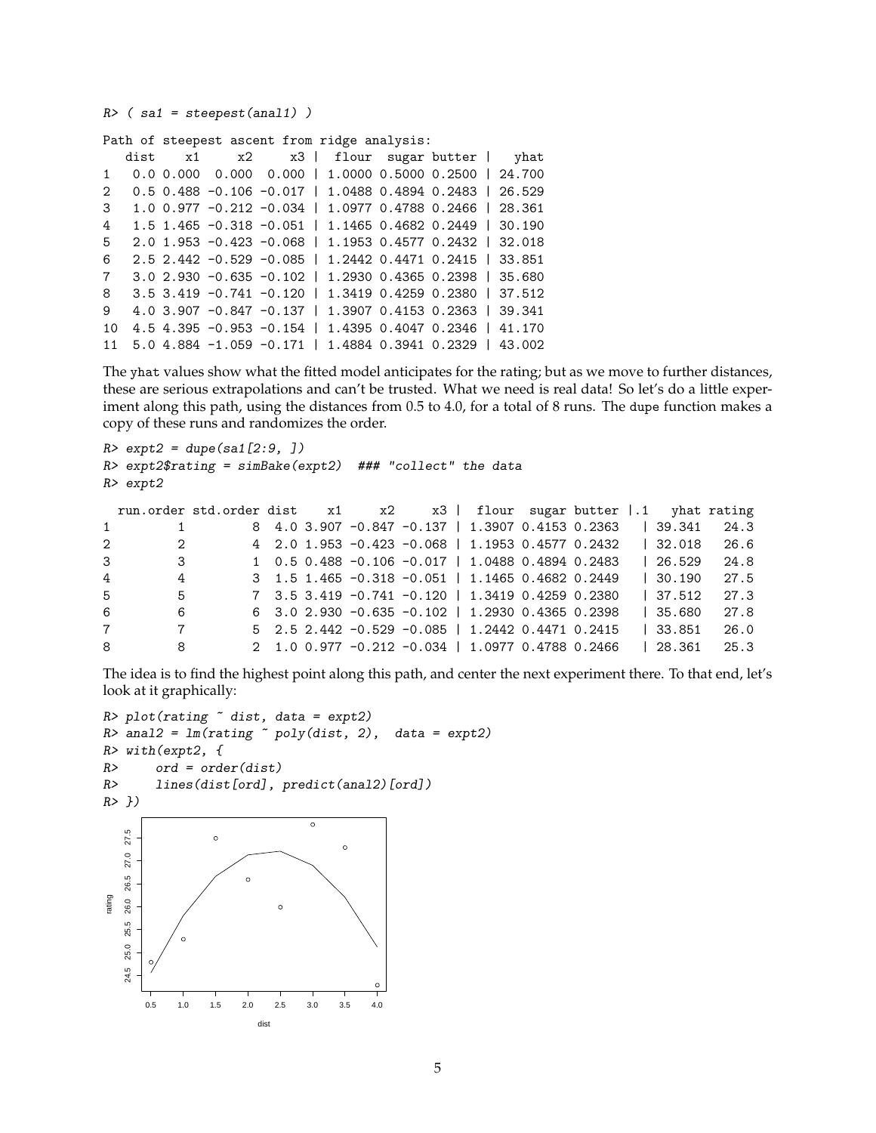$R$ > (sa1 = steepest(anal1))

Path of steepest ascent from ridge analysis:

|                |  |  | dist x1 x2 x3   flour sugar butter   yhat                       |  |  |
|----------------|--|--|-----------------------------------------------------------------|--|--|
|                |  |  | 1  0.0  0.000  0.000  0.000    1.0000  0.5000  0.2500    24.700 |  |  |
|                |  |  | 2 0.5 0.488 -0.106 -0.017   1.0488 0.4894 0.2483   26.529       |  |  |
| $\mathbf{3}$   |  |  | 1.0 0.977 -0.212 -0.034   1.0977 0.4788 0.2466   28.361         |  |  |
| $\overline{4}$ |  |  | $1.5$ 1.465 -0.318 -0.051   1.1465 0.4682 0.2449   30.190       |  |  |
| $5^{\circ}$    |  |  | 2.0 1.953 -0.423 -0.068   1.1953 0.4577 0.2432   32.018         |  |  |
| 6              |  |  | 2.5 2.442 -0.529 -0.085   1.2442 0.4471 0.2415   33.851         |  |  |
| $7^{\circ}$    |  |  | 3.0 2.930 -0.635 -0.102   1.2930 0.4365 0.2398   35.680         |  |  |
| 8              |  |  | 3.5 3.419 -0.741 -0.120   1.3419 0.4259 0.2380   37.512         |  |  |
| 9              |  |  | 4.0 3.907 -0.847 -0.137   1.3907 0.4153 0.2363   39.341         |  |  |
| 10             |  |  | 4.5 4.395 -0.953 -0.154   1.4395 0.4047 0.2346   41.170         |  |  |
|                |  |  | 11 5.0 4.884 -1.059 -0.171   1.4884 0.3941 0.2329   43.002      |  |  |

The yhat values show what the fitted model anticipates for the rating; but as we move to further distances, these are serious extrapolations and can't be trusted. What we need is real data! So let's do a little experiment along this path, using the distances from 0.5 to 4.0, for a total of 8 runs. The dupe function makes a copy of these runs and randomizes the order.

```
R > \text{expt2} = \text{dupe}(\text{sat}[2:9, ])R> expt2$rating = simBake(expt2) ### "collect" the data
R> expt2
```

|                |                         | run.order std.order dist x1 x2 x3   flour sugar butter  .1 yhat rating |  |                                                                                            |  |  |            |      |
|----------------|-------------------------|------------------------------------------------------------------------|--|--------------------------------------------------------------------------------------------|--|--|------------|------|
| $1 \quad$      | $\overline{1}$          |                                                                        |  | 8 4.0 3.907 -0.847 -0.137   1.3907 0.4153 0.2363                                           |  |  | 39.341     | 24.3 |
| $2^{\circ}$    | $\overline{2}$          |                                                                        |  | 4 2.0 1.953 -0.423 -0.068   1.1953 0.4577 0.2432                                           |  |  | 32.018     | 26.6 |
| 3              | $\overline{\mathbf{3}}$ |                                                                        |  | $1 \quad 0.5 \quad 0.488 \quad -0.106 \quad -0.017 \quad 1.0488 \quad 0.4894 \quad 0.2483$ |  |  | 126.529    | 24.8 |
| $\overline{4}$ | $\overline{4}$          |                                                                        |  | 3 1.5 1.465 -0.318 -0.051   1.1465 0.4682 0.2449                                           |  |  | 1, 30, 190 | 27.5 |
| $5 -$          | 5 <sub>5</sub>          |                                                                        |  | 7 3.5 3.419 -0.741 -0.120   1.3419 0.4259 0.2380                                           |  |  | 37.512     | 27.3 |
| 6              | 6                       |                                                                        |  | $6$ 3.0 2.930 -0.635 -0.102   1.2930 0.4365 0.2398                                         |  |  | 1, 35.680  | 27.8 |
|                | $7\overline{ }$<br>7    |                                                                        |  | $5$ 2.5 2.442 -0.529 -0.085   1.2442 0.4471 0.2415                                         |  |  | 33.851     | 26.0 |
| 8              | 8                       |                                                                        |  | 2 1.0 0.977 -0.212 -0.034   1.0977 0.4788 0.2466                                           |  |  | 128.361    | 25.3 |

The idea is to find the highest point along this path, and center the next experiment there. To that end, let's look at it graphically:

```
R> plot(rating \tilde{ } dist, data = expt2)
R anal2 = lm(rating \sim poly(dist, 2), data = expt2)R> with(expt2, {
R> ord = order(dist)
R> lines(dist[ord], predict(anal2)[ord])
R> })
                                       \overline{\circ}27.5
    24.5 25.0 25.5 26.0 26.5 27.0 27.5
                     \circ\circ27.0
   26.0 26.5
                            ●
rating
   25.5
               \Omega25.0
   24.5
        0.5 1.0 1.5 2.0 2.5 3.0 3.5 4.0
                             dist
```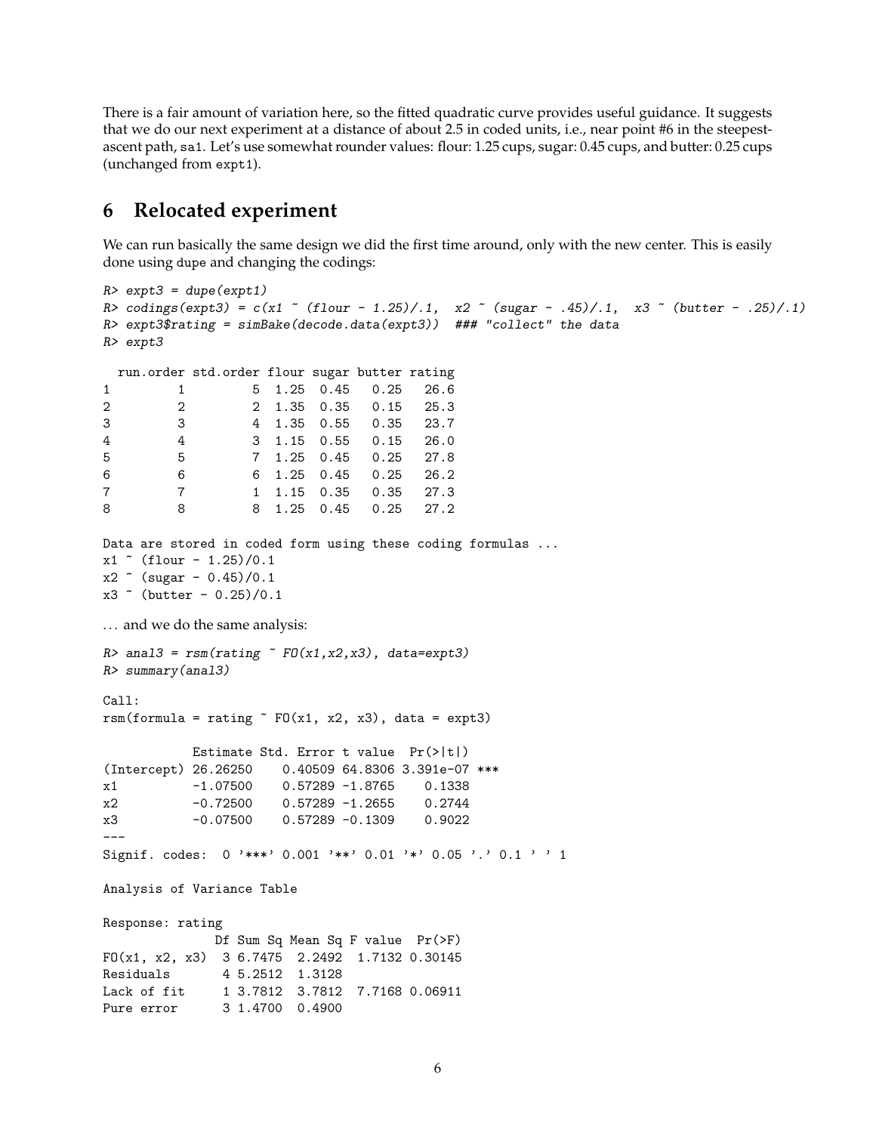There is a fair amount of variation here, so the fitted quadratic curve provides useful guidance. It suggests that we do our next experiment at a distance of about 2.5 in coded units, i.e., near point #6 in the steepestascent path, sa1. Let's use somewhat rounder values: flour: 1.25 cups, sugar: 0.45 cups, and butter: 0.25 cups (unchanged from expt1).

## **6 Relocated experiment**

We can run basically the same design we did the first time around, only with the new center. This is easily done using dupe and changing the codings:

```
R> expt3 = dupe(expt1)
R > \text{codings}(\text{expt3}) = c(x1 \text{``(four - 1.25)}/.1, x2 \text{``(sugar - .45)}/.1, x3 \text{``(butter - .25)}/.1)R> expt3$rating = simBake(decode.data(expt3)) ### "collect" the data
R> expt3
 run.order std.order flour sugar butter rating
1 1 5 1.25 0.45 0.25 26.6
2 2 2 1.35 0.35 0.15 25.3
3 3 4 1.35 0.55 0.35 23.7
4 4 3 1.15 0.55 0.15 26.0
5 5 7 1.25 0.45 0.25 27.8
6 6 6 1.25 0.45 0.25 26.2
7 7 1 1.15 0.35 0.35 27.3
8 8 8 1.25 0.45 0.25 27.2
Data are stored in coded form using these coding formulas ...
x1 " (flour - 1.25)/0.1
x2 \sim (sugar - 0.45)/0.1
x3 \degree (butter - 0.25)/0.1
... and we do the same analysis:
R> anal3 = rsm(rating \texttt{"F0(x1,x2,x3)}, data=expt3)R> summary(anal3)
Ca11:rsm(formula = rating \tilde{r} FO(x1, x2, x3), data = expt3)
          Estimate Std. Error t value Pr(>|t|)
(Intercept) 26.26250 0.40509 64.8306 3.391e-07 ***
x1 -1.07500 0.57289 -1.8765 0.1338
x2 -0.72500 0.57289 -1.2655 0.2744
x3 -0.07500 0.57289 -0.1309 0.9022
---
Signif. codes: 0 '***' 0.001 '**' 0.01 '*' 0.05 '.' 0.1 ' ' 1
Analysis of Variance Table
Response: rating
             Df Sum Sq Mean Sq F value Pr(>F)
FO(x1, x2, x3) 3 6.7475 2.2492 1.7132 0.30145
Residuals 4 5.2512 1.3128
Lack of fit 1 3.7812 3.7812 7.7168 0.06911
Pure error 3 1.4700 0.4900
```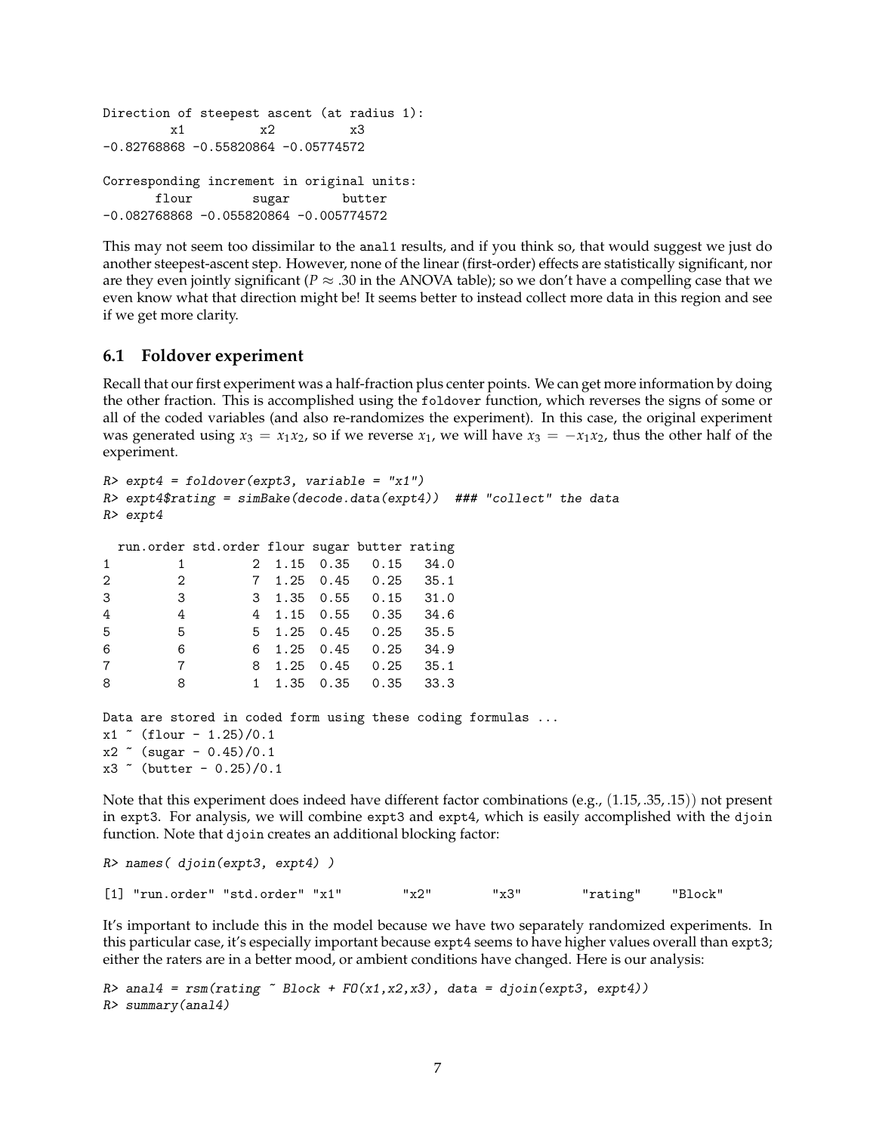```
Direction of steepest ascent (at radius 1):
        x1 x2 x3
-0.82768868 -0.55820864 -0.05774572
Corresponding increment in original units:
      flour sugar butter
-0.082768868 -0.055820864 -0.005774572
```
This may not seem too dissimilar to the anal1 results, and if you think so, that would suggest we just do another steepest-ascent step. However, none of the linear (first-order) effects are statistically significant, nor are they even jointly significant ( $P \approx .30$  in the ANOVA table); so we don't have a compelling case that we even know what that direction might be! It seems better to instead collect more data in this region and see if we get more clarity.

#### **6.1 Foldover experiment**

Recall that our first experiment was a half-fraction plus center points. We can get more information by doing the other fraction. This is accomplished using the foldover function, which reverses the signs of some or all of the coded variables (and also re-randomizes the experiment). In this case, the original experiment was generated using  $x_3 = x_1x_2$ , so if we reverse  $x_1$ , we will have  $x_3 = -x_1x_2$ , thus the other half of the experiment.

```
R expt4 = foldover(expt3, variable = "x1")
R expt4$rating = simBake(decode.data(expt4)) ### "collect" the data
R> expt4
 run.order std.order flour sugar butter rating
1 1 2 1.15 0.35 0.15 34.0
2 2 7 1.25 0.45 0.25 35.1
3 3 3 1.35 0.55 0.15 31.0
4 4 4 1.15 0.55 0.35 34.6
5 5 5 1.25 0.45 0.25 35.5
6 6 6 1.25 0.45 0.25 34.9
7 7 8 1.25 0.45 0.25 35.1
8 8 1 1.35 0.35 0.35 33.3
Data are stored in coded form using these coding formulas ...
x1 ( flour -1.25)/0.1x2 \sim (sugar - 0.45)/0.1
x3 ~ (butter - 0.25)/0.1
```
Note that this experiment does indeed have different factor combinations (e.g., (1.15, .35, .15)) not present in expt3. For analysis, we will combine expt3 and expt4, which is easily accomplished with the djoin function. Note that djoin creates an additional blocking factor:

```
R> names( djoin(expt3, expt4) )
[1] "run.order" "std.order" "x1" "x2" "x3" "rating" "Block"
```
It's important to include this in the model because we have two separately randomized experiments. In this particular case, it's especially important because expt4 seems to have higher values overall than expt3; either the raters are in a better mood, or ambient conditions have changed. Here is our analysis:

```
R > anal4 = rsm(rating \sim Block + FO(x1,x2,x3), data = djoin(expt3, expt4))
R> summary(anal4)
```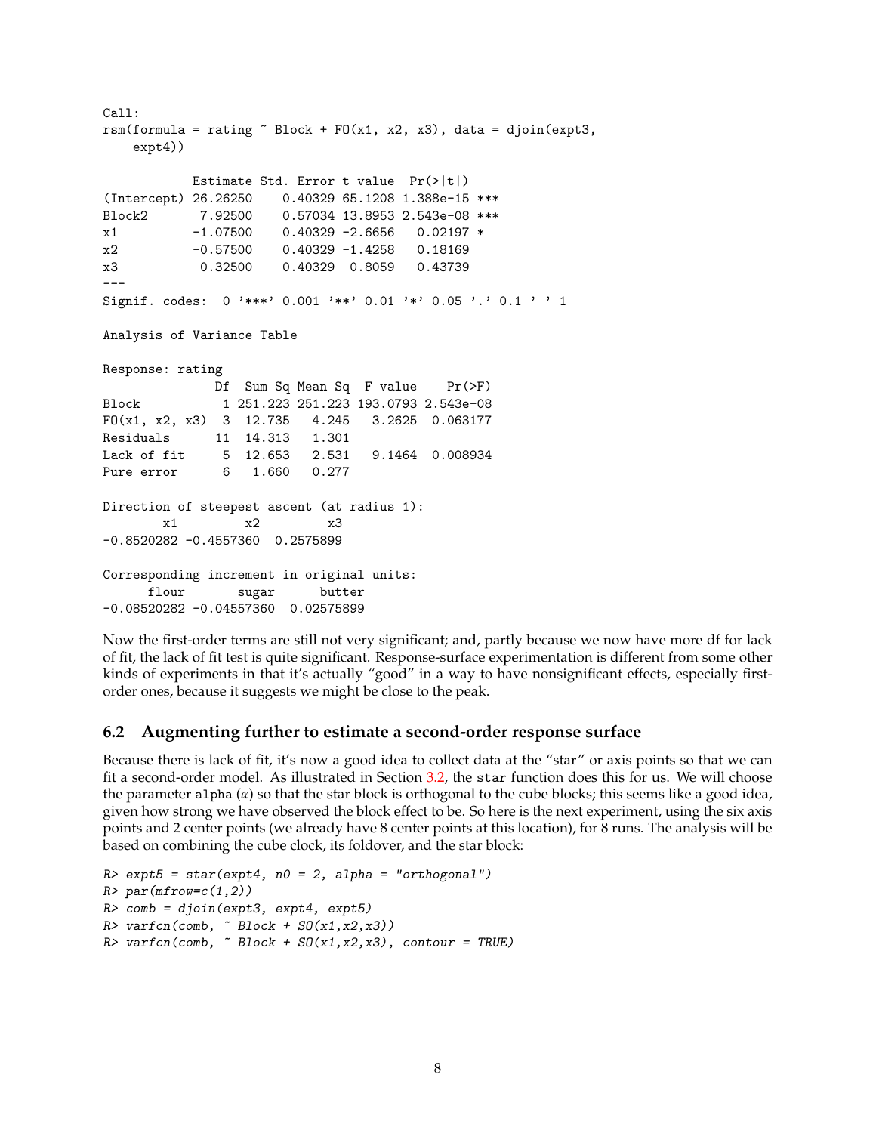```
Call:
rsm(formula = rating \sim Block + F0(x1, x2, x3), data = djoin(expt3,
   expt4))
          Estimate Std. Error t value Pr(>|t|)
(Intercept) 26.26250 0.40329 65.1208 1.388e-15 ***
Block2 7.92500 0.57034 13.8953 2.543e-08 ***
x1 -1.07500 0.40329 -2.6656 0.02197 *
x2 -0.57500 0.40329 -1.4258 0.18169
x3 0.32500 0.40329 0.8059 0.43739
---
Signif. codes: 0 '***' 0.001 '**' 0.01 '*' 0.05 '.' 0.1 ' ' 1
Analysis of Variance Table
Response: rating
             Df Sum Sq Mean Sq F value Pr(>F)
Block 1 251.223 251.223 193.0793 2.543e-08
FO(x1, x2, x3) 3 12.735 4.245 3.2625 0.063177
Residuals 11 14.313 1.301
Lack of fit 5 12.653 2.531 9.1464 0.008934
Pure error 6 1.660 0.277
Direction of steepest ascent (at radius 1):
       x1 x2 x3
-0.8520282 -0.4557360 0.2575899
Corresponding increment in original units:
     flour sugar butter
-0.08520282 -0.04557360 0.02575899
```
Now the first-order terms are still not very significant; and, partly because we now have more df for lack of fit, the lack of fit test is quite significant. Response-surface experimentation is different from some other kinds of experiments in that it's actually "good" in a way to have nonsignificant effects, especially firstorder ones, because it suggests we might be close to the peak.

#### **6.2 Augmenting further to estimate a second-order response surface**

Because there is lack of fit, it's now a good idea to collect data at the "star" or axis points so that we can fit a second-order model. As illustrated in Section [3.2,](#page-2-0) the star function does this for us. We will choose the parameter alpha (*α*) so that the star block is orthogonal to the cube blocks; this seems like a good idea, given how strong we have observed the block effect to be. So here is the next experiment, using the six axis points and 2 center points (we already have 8 center points at this location), for 8 runs. The analysis will be based on combining the cube clock, its foldover, and the star block:

```
R expt5 = star(expt4, n0 = 2, alpha = "orthogonal")
R> par(mfrow=c(1,2))
R> comb = djoin(expt3, expt4, expt5)
R varfcn(comb, \tilde{B} Block + SO(x1, x2, x3))
R varfcn(comb, \tilde{B} Block + SO(x1, x2, x3), contour = TRUE)
```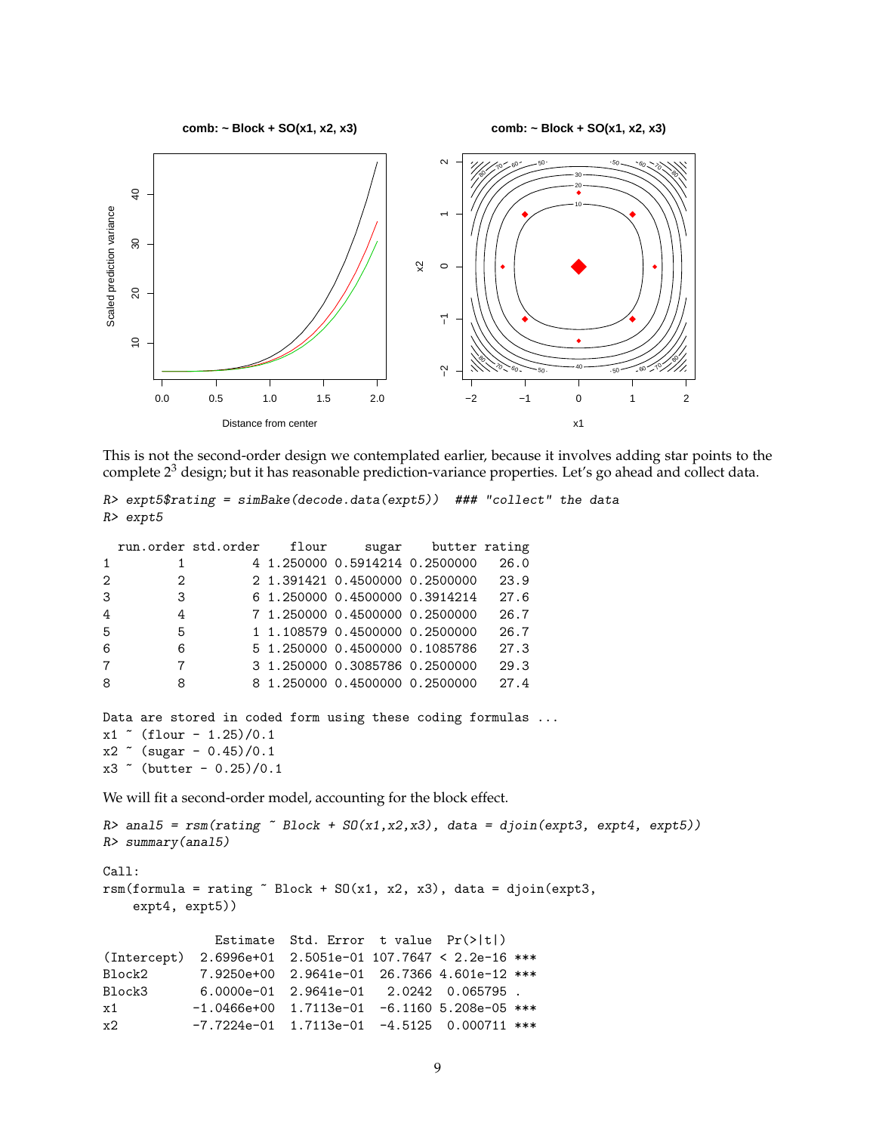

**comb: ~ Block + SO(x1, x2, x3)**



This is not the second-order design we contemplated earlier, because it involves adding star points to the complete  $2<sup>3</sup>$  design; but it has reasonable prediction-variance properties. Let's go ahead and collect data.

```
R> expt5$rating = simBake(decode.data(expt5)) ### "collect" the data
R> expt5
```

|                |                | run.order std.order flour                                 |                                | sugar butter rating |      |  |
|----------------|----------------|-----------------------------------------------------------|--------------------------------|---------------------|------|--|
| $\mathbf{1}$   | 1              |                                                           | 4 1.250000 0.5914214 0.2500000 |                     | 26.0 |  |
| $\overline{2}$ | $\mathcal{D}$  |                                                           | 2 1.391421 0.4500000 0.2500000 |                     | 23.9 |  |
| 3              | 3              |                                                           | 6 1.250000 0.4500000 0.3914214 |                     | 27.6 |  |
| 4              | 4              |                                                           | 7 1.250000 0.4500000 0.2500000 |                     | 26.7 |  |
| 5              | 5              |                                                           | 1 1.108579 0.4500000 0.2500000 |                     | 26.7 |  |
| 6              | 6              |                                                           | 5 1.250000 0.4500000 0.1085786 |                     | 27.3 |  |
| $\overline{7}$ | $\overline{7}$ |                                                           | 3 1.250000 0.3085786 0.2500000 |                     | 29.3 |  |
| 8              | 8              |                                                           | 8 1.250000 0.4500000 0.2500000 |                     | 27.4 |  |
|                |                |                                                           |                                |                     |      |  |
|                |                | Dete sus etensd in sadad from using these sading fromulas |                                |                     |      |  |

```
Data are stored in coded form using these coding formulas ...
x1 ( flour -1.25)/0.1x2 \sim (sugar - 0.45)/0.1
x3 \sim (butter - 0.25)/0.1
```
We will fit a second-order model, accounting for the block effect.

```
R anal5 = rsm(rating \sim Block + SO(x1, x2, x3), data = djoin(expt3, expt4, expt5))
R> summary(anal5)
Call:
rsm(formula = rating " Block + SO(x1, x2, x3), data = dipoin(expt3,expt4, expt5))
             Estimate Std. Error t value Pr(>|t|)
(Intercept) 2.6996e+01 2.5051e-01 107.7647 < 2.2e-16 ***
Block2 7.9250e+00 2.9641e-01 26.7366 4.601e-12 ***
Block3 6.0000e-01 2.9641e-01 2.0242 0.065795 .
x1 -1.0466e+00 1.7113e-01 -6.1160 5.208e-05 ***
x2 -7.7224e-01 1.7113e-01 -4.5125 0.000711 ***
```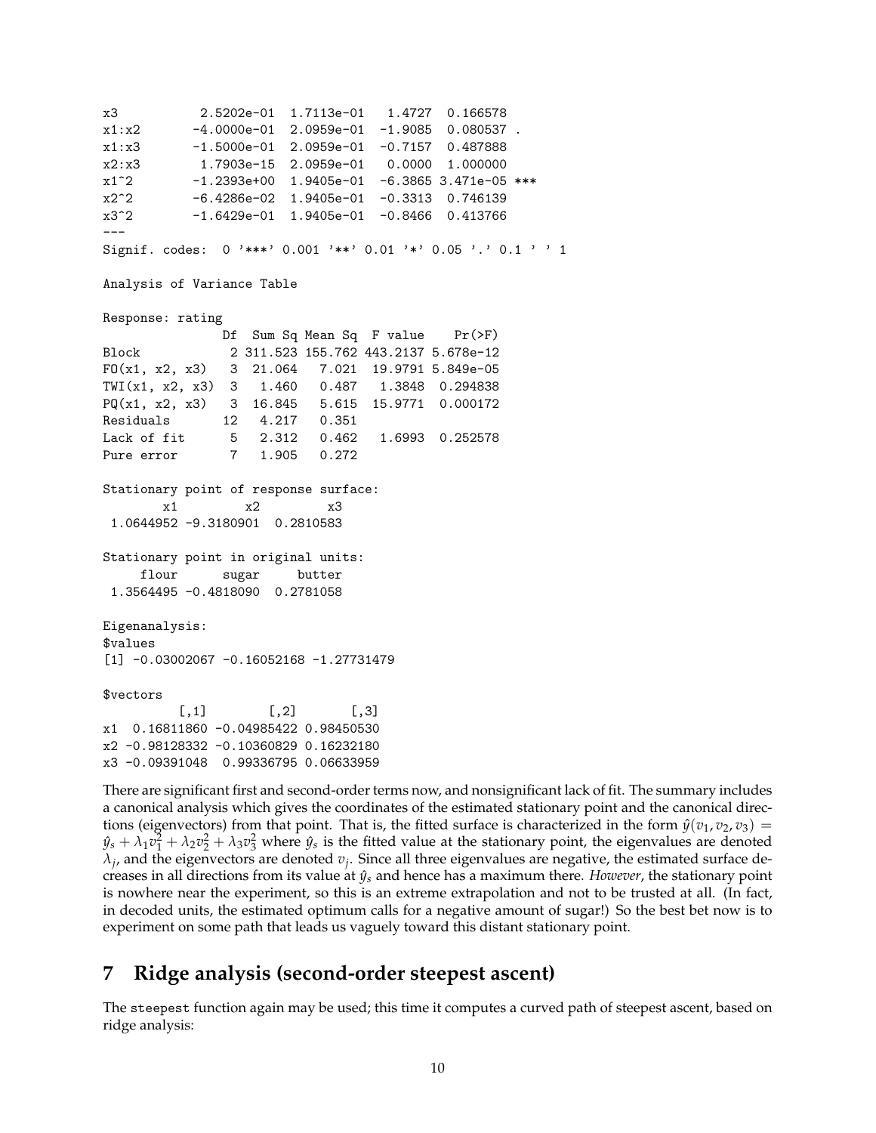x3 2.5202e-01 1.7113e-01 1.4727 0.166578  $x1:x2$  -4.0000e-01 2.0959e-01 -1.9085 0.080537. x1:x3 -1.5000e-01 2.0959e-01 -0.7157 0.487888 x2:x3 1.7903e-15 2.0959e-01 0.0000 1.000000 x1^2 -1.2393e+00 1.9405e-01 -6.3865 3.471e-05 \*\*\* x2^2 -6.4286e-02 1.9405e-01 -0.3313 0.746139 x3^2 -1.6429e-01 1.9405e-01 -0.8466 0.413766 --- Signif. codes: 0 '\*\*\*' 0.001 '\*\*' 0.01 '\*' 0.05 '.' 0.1 ' ' 1 Analysis of Variance Table Response: rating Df Sum Sq Mean Sq F value Pr(>F) Block 2 311.523 155.762 443.2137 5.678e-12 FO(x1, x2, x3) 3 21.064 7.021 19.9791 5.849e-05 TWI(x1, x2, x3) 3 1.460 0.487 1.3848 0.294838 PQ(x1, x2, x3) 3 16.845 5.615 15.9771 0.000172 Residuals 12 4.217 0.351 Lack of fit 5 2.312 0.462 1.6993 0.252578 Pure error 7 1.905 0.272 Stationary point of response surface: x1 x2 x3 1.0644952 -9.3180901 0.2810583 Stationary point in original units: flour sugar butter 1.3564495 -0.4818090 0.2781058 Eigenanalysis: \$values  $[1] -0.03002067 -0.16052168 -1.27731479$ \$vectors  $[ , 1]$   $[ , 2]$   $[ , 3]$ x1 0.16811860 -0.04985422 0.98450530 x2 -0.98128332 -0.10360829 0.16232180 x3 -0.09391048 0.99336795 0.06633959

There are significant first and second-order terms now, and nonsignificant lack of fit. The summary includes a canonical analysis which gives the coordinates of the estimated stationary point and the canonical directions (eigenvectors) from that point. That is, the fitted surface is characterized in the form  $\hat{y}(v_1, v_2, v_3)$  =  $y_s + \lambda_1 v_1^2 + \lambda_2 v_2^2 + \lambda_3 v_3^2$  where  $y_s$  is the fitted value at the stationary point, the eigenvalues are denoted  $\lambda_j$ , and the eigenvectors are denoted  $v_j$ . Since all three eigenvalues are negative, the estimated surface decreases in all directions from its value at  $\hat{y}_s$  and hence has a maximum there. *However*, the stationary point is nowhere near the experiment, so this is an extreme extrapolation and not to be trusted at all. (In fact, in decoded units, the estimated optimum calls for a negative amount of sugar!) So the best bet now is to experiment on some path that leads us vaguely toward this distant stationary point.

## **7 Ridge analysis (second-order steepest ascent)**

The steepest function again may be used; this time it computes a curved path of steepest ascent, based on ridge analysis: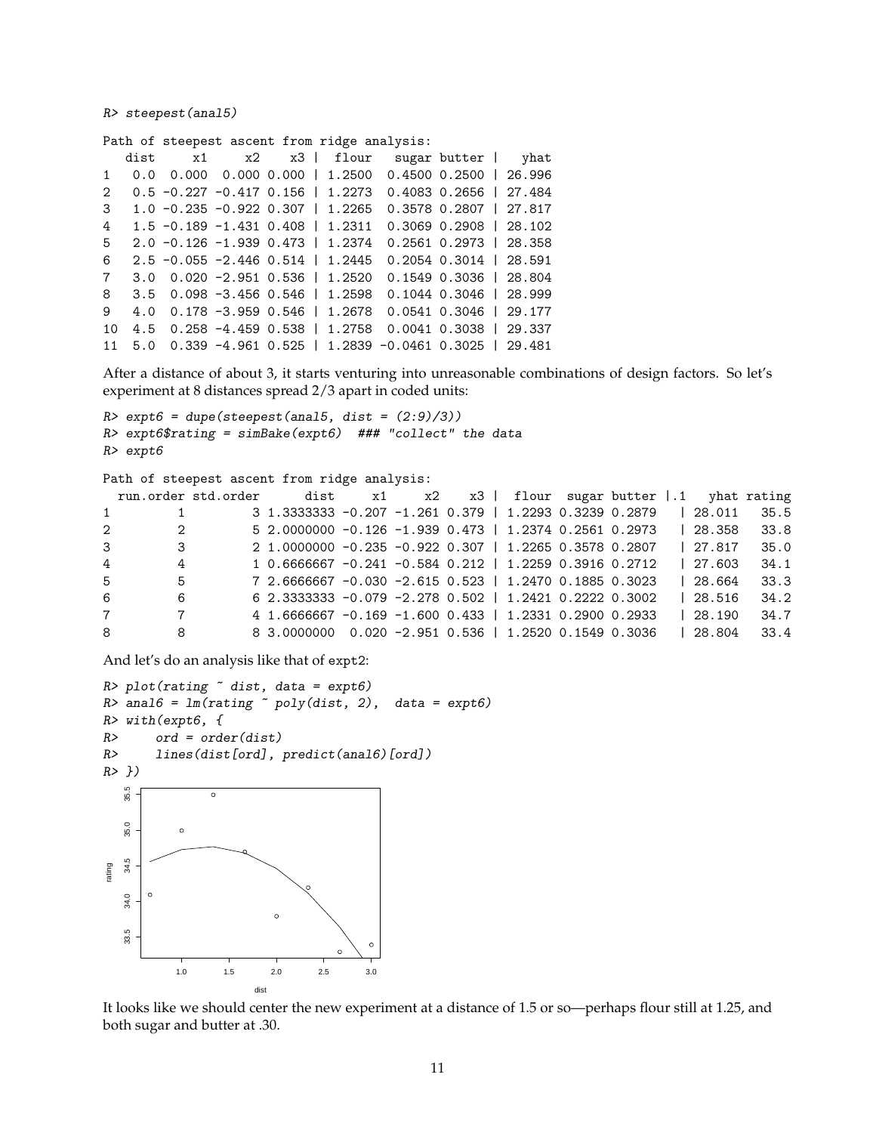R> steepest(anal5)

Path of steepest ascent from ridge analysis:

|                |                                              |  |                                      | dist x1 x2 x3   flour sugar butter   yhat                          |                          |  |
|----------------|----------------------------------------------|--|--------------------------------------|--------------------------------------------------------------------|--------------------------|--|
|                |                                              |  |                                      | 1 0.0 0.000 0.000 0.000   1.2500 0.4500 0.2500   26.996            |                          |  |
| $2^{\circ}$    |                                              |  | $0.5 - 0.227 - 0.417$ 0.156   1.2273 |                                                                    | 0.4083 0.2656   27.484   |  |
|                | $3\quad 1.0 -0.235 -0.922 0.307 \mid 1.2265$ |  |                                      |                                                                    | 0.3578 0.2807   27.817   |  |
| $\overline{4}$ |                                              |  | $1.5 -0.189 -1.431 0.408$   1.2311   | $0.3069$ $0.2908$   28.102                                         |                          |  |
| $5^{\circ}$    |                                              |  |                                      | 2.0 $-0.126$ $-1.939$ 0.473   1.2374 0.2561 0.2973   28.358        |                          |  |
| 6              |                                              |  | $2.5 -0.055 -2.446 0.514$   1.2445   |                                                                    | $0.2054$ 0.3014   28.591 |  |
| $7^{\circ}$    |                                              |  | $3.0$ 0.020 -2.951 0.536   1.2520    |                                                                    | 0.1549 0.3036   28.804   |  |
|                |                                              |  |                                      | 8 $3.5$ $0.098$ -3.456 $0.546$ $1.2598$ $0.1044$ $0.3046$ $28.999$ |                          |  |
| $\mathbf{Q}$   |                                              |  |                                      | 4.0 0.178 -3.959 0.546   1.2678 0.0541 0.3046   29.177             |                          |  |
| 10             |                                              |  |                                      | 4.5 0.258 -4.459 0.538   1.2758 0.0041 0.3038   29.337             |                          |  |
|                |                                              |  |                                      | 11 5.0 0.339 -4.961 0.525   1.2839 -0.0461 0.3025   29.481         |                          |  |

After a distance of about 3, it starts venturing into unreasonable combinations of design factors. So let's experiment at 8 distances spread 2/3 apart in coded units:

```
R expt6 = dupe(steepest(anal5, dist = (2:9)/3))
R> expt6$rating = simBake(expt6) ### "collect" the data
R> expt6
```

```
Path of steepest ascent from ridge analysis:
```

|                |                 | run.order std.order dist x1 x2 x3   flour sugar butter  .1 yhat rating |  |  |  |  |         |      |
|----------------|-----------------|------------------------------------------------------------------------|--|--|--|--|---------|------|
| $1 \quad$      | 1               | 3 1.3333333 -0.207 -1.261 0.379   1.2293 0.3239 0.2879                 |  |  |  |  | 128.011 | 35.5 |
| $2^{\circ}$    | 2               | 5 2.0000000 -0.126 -1.939 0.473   1.2374 0.2561 0.2973                 |  |  |  |  | 128.358 | 33.8 |
| $3^{\circ}$    | 3               | 2 1.0000000 -0.235 -0.922 0.307   1.2265 0.3578 0.2807                 |  |  |  |  | 127.817 | 35.0 |
| $\overline{4}$ | 4               | 1 0.6666667 -0.241 -0.584 0.212   1.2259 0.3916 0.2712                 |  |  |  |  | 127.603 | 34.1 |
| 5              | 5               | 7 2.6666667 -0.030 -2.615 0.523   1.2470 0.1885 0.3023                 |  |  |  |  | 128.664 | 33.3 |
| 6              | 6               | $6$ 2.3333333 -0.079 -2.278 0.502   1.2421 0.2222 0.3002               |  |  |  |  | 128.516 | 34.2 |
| $7^{\circ}$    | $7\overline{ }$ | 4 1.6666667 -0.169 -1.600 0.433   1.2331 0.2900 0.2933                 |  |  |  |  | 28.190  | 34.7 |
| 8              | 8               | 8 3.0000000 0.020 -2.951 0.536   1.2520 0.1549 0.3036                  |  |  |  |  | 28.804  | 33.4 |

And let's do an analysis like that of expt2:

```
R> plot(rating \tilde{ } dist, data = expt6)
R> anal6 = Im(rating \sim poly(dist, 2), data = expt6)R> with(expt6, {
R> ord = order(dist)
R> lines(dist[ord], predict(anal6)[ord])
R> })
   35.5
    33.5 34.0 34.5 35.0 35.5
                  \circ35.0
             \circ●
   34.5
rating
   34.0
                             \circ33.5
             1.0 1.5 2.0 2.5 3.0
                          dist
```
It looks like we should center the new experiment at a distance of 1.5 or so—perhaps flour still at 1.25, and both sugar and butter at .30.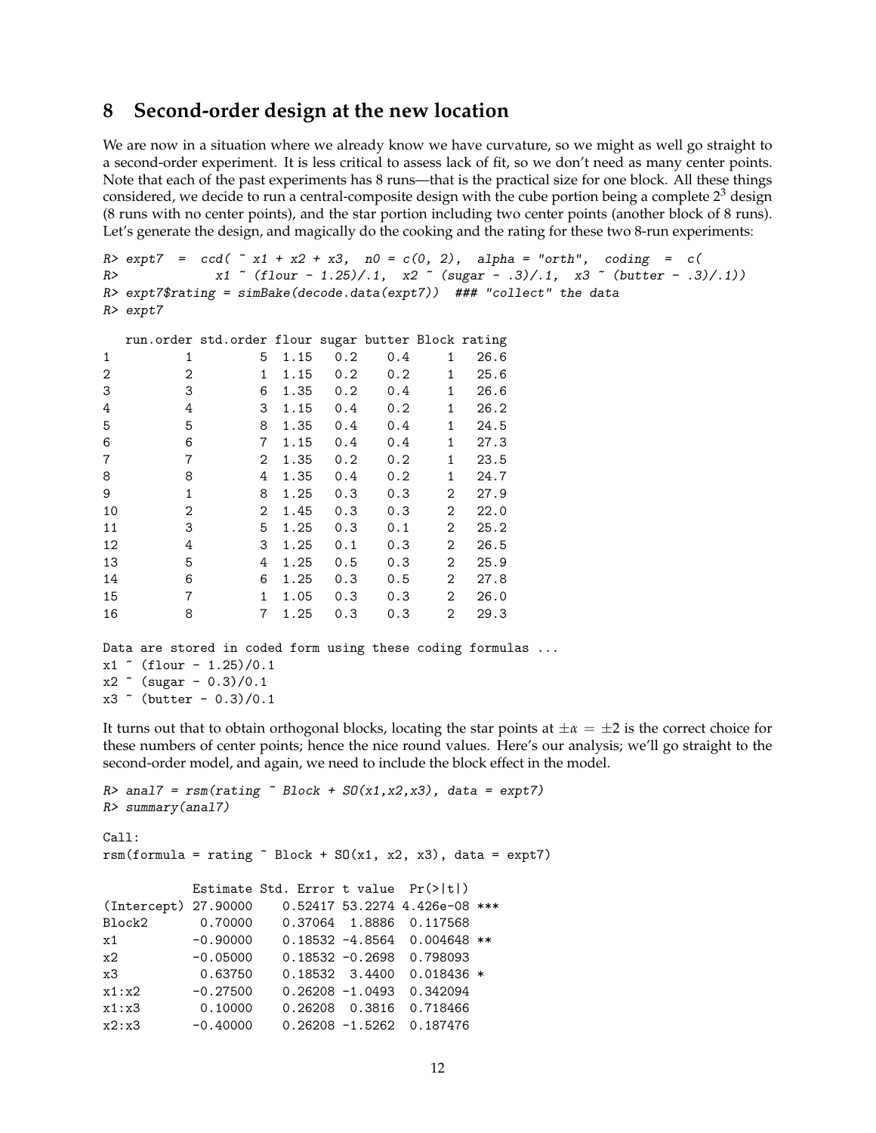### **8 Second-order design at the new location**

We are now in a situation where we already know we have curvature, so we might as well go straight to a second-order experiment. It is less critical to assess lack of fit, so we don't need as many center points. Note that each of the past experiments has 8 runs—that is the practical size for one block. All these things considered, we decide to run a central-composite design with the cube portion being a complete  $2<sup>3</sup>$  design (8 runs with no center points), and the star portion including two center points (another block of 8 runs). Let's generate the design, and magically do the cooking and the rating for these two 8-run experiments:

```
R > \text{expt } 7 = \text{ccd}(\text{ }^{\sim} x1 + x2 + x3, \text{ } n0 = \text{c}(0, 2), \text{ alpha = "orth", } \text{coding = c}(R> x1 \text{ }^{\circ} (flour - 1.25)/.1, x2 \text{ }^{\circ} (sugar - .3)/.1, x3 \text{ }^{\circ} (butter - .3)/.1))
R> expt7$rating = simBake(decode.data(expt7)) ### "collect" the data
R> expt7
```

|                |              | run.order std.order flour sugar butter Block rating |      |     |     |              |      |
|----------------|--------------|-----------------------------------------------------|------|-----|-----|--------------|------|
| 1              | 1            | 5                                                   | 1.15 | 0.2 | 0.4 | 1            | 26.6 |
| 2              | 2            | 1                                                   | 1.15 | 0.2 | 0.2 | $\mathbf{1}$ | 25.6 |
| 3              | 3            | 6                                                   | 1.35 | 0.2 | 0.4 | 1            | 26.6 |
| 4              | 4            | 3                                                   | 1.15 | 0.4 | 0.2 | 1            | 26.2 |
| 5              | 5            | 8                                                   | 1.35 | 0.4 | 0.4 | 1            | 24.5 |
| 6              | 6            | $\overline{7}$                                      | 1.15 | 0.4 | 0.4 | 1            | 27.3 |
| $\overline{7}$ | 7            | $\overline{2}$                                      | 1.35 | 0.2 | 0.2 | $\mathbf{1}$ | 23.5 |
| 8              | 8            | 4                                                   | 1.35 | 0.4 | 0.2 | 1            | 24.7 |
| 9              | $\mathbf{1}$ | 8                                                   | 1.25 | 0.3 | 0.3 | 2            | 27.9 |
| 10             | 2            | $\overline{2}$                                      | 1.45 | 0.3 | 0.3 | 2            | 22.0 |
| 11             | 3            | 5                                                   | 1.25 | 0.3 | 0.1 | 2            | 25.2 |
| 12             | 4            | 3                                                   | 1.25 | 0.1 | 0.3 | 2            | 26.5 |
| 13             | 5            | 4                                                   | 1.25 | 0.5 | 0.3 | 2            | 25.9 |
| 14             | 6            | 6                                                   | 1.25 | 0.3 | 0.5 | 2            | 27.8 |
| 15             | 7            | $\mathbf{1}$                                        | 1.05 | 0.3 | 0.3 | 2            | 26.0 |
| 16             | 8            | 7                                                   | 1.25 | 0.3 | 0.3 | 2            | 29.3 |

```
Data are stored in coded form using these coding formulas ...
x1 ( flour -1.25)/0.1x2 \sim (sugar - 0.3)/0.1
x3 ( butter -0.3)/0.1
```
It turns out that to obtain orthogonal blocks, locating the star points at  $\pm \alpha = \pm 2$  is the correct choice for these numbers of center points; hence the nice round values. Here's our analysis; we'll go straight to the second-order model, and again, we need to include the block effect in the model.

```
R anal7 = rsm(rating \text{ } ^\sim \text{Block } + \text{ }SO(x1, x2, x3), data = expt7)R> summary(anal7)
Call:
rsm(formula = rating \tilde{\alpha} Block + SO(x1, x2, x3), data = expt7)Estimate Std. Error t value Pr(>|t|)
(Intercept) 27.90000 0.52417 53.2274 4.426e-08 ***
Block2 0.70000 0.37064 1.8886 0.117568
x1 -0.90000 0.18532 -4.8564 0.004648 **
x2 -0.05000 0.18532 -0.2698 0.798093
x3 0.63750 0.18532 3.4400 0.018436 *
x1:x2 -0.27500 0.26208 -1.0493 0.342094
x1:x3 0.10000 0.26208 0.3816 0.718466
x2:x3 -0.40000 0.26208 -1.5262 0.187476
```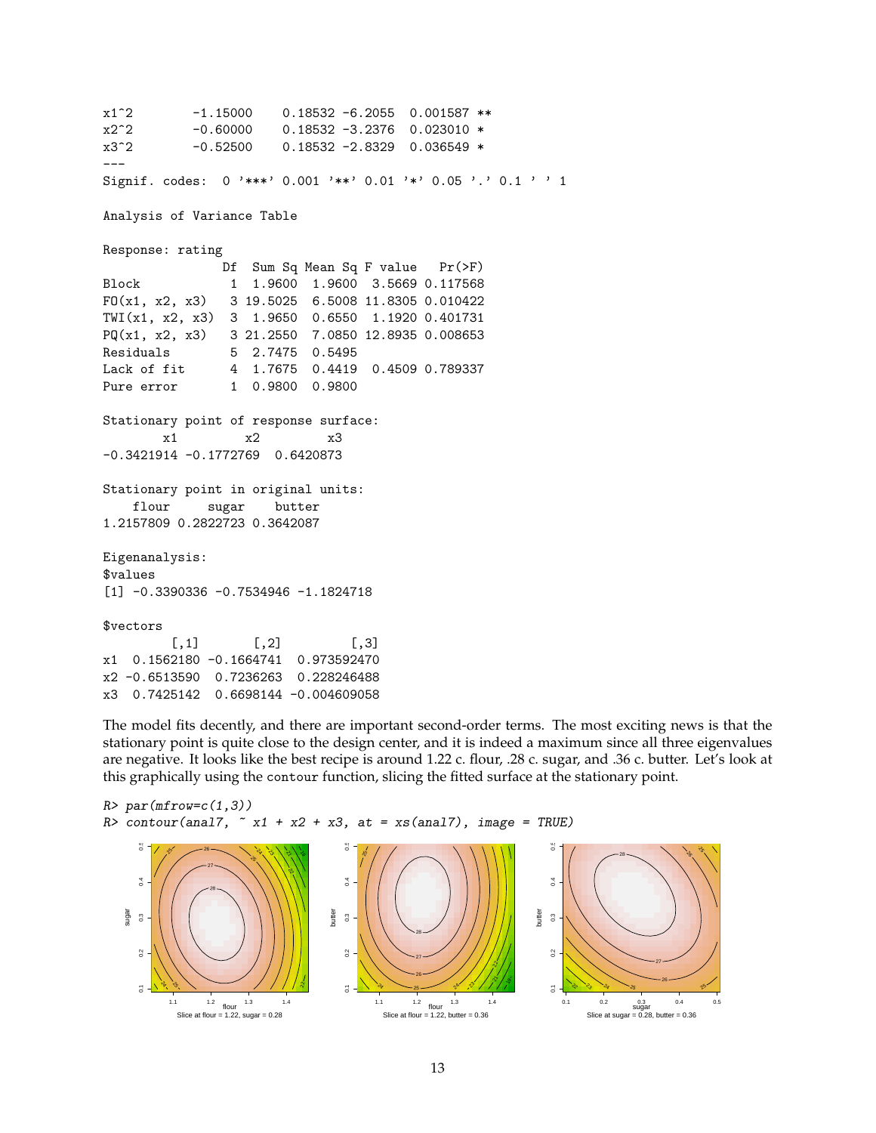```
x1^2 -1.15000 0.18532 -6.2055 0.001587 **
x2^2 -0.60000 0.18532 -3.2376 0.023010 *
x3^2 -0.52500 0.18532 -2.8329 0.036549 *
---
Signif. codes: 0 '***' 0.001 '**' 0.01 '*' 0.05 '.' 0.1 ' ' 1
Analysis of Variance Table
Response: rating
              Df Sum Sq Mean Sq F value Pr(>F)
Block 1 1.9600 1.9600 3.5669 0.117568
FO(x1, x2, x3) 3 19.5025 6.5008 11.8305 0.010422
TWI(x1, x2, x3) 3 1.9650 0.6550 1.1920 0.401731
PQ(x1, x2, x3) 3 21.2550 7.0850 12.8935 0.008653
Residuals 5 2.7475 0.5495
Lack of fit 4 1.7675 0.4419 0.4509 0.789337
Pure error 1 0.9800 0.9800
Stationary point of response surface:
       x1 x2 x3
-0.3421914 -0.1772769 0.6420873
Stationary point in original units:
   flour sugar butter
1.2157809 0.2822723 0.3642087
Eigenanalysis:
$values
[1] -0.3390336 -0.7534946 -1.1824718
$vectors
        [0,1] [0,2] [0,3]x1 0.1562180 -0.1664741 0.973592470
x2 -0.6513590 0.7236263 0.228246488
x3 0.7425142 0.6698144 -0.004609058
```
The model fits decently, and there are important second-order terms. The most exciting news is that the stationary point is quite close to the design center, and it is indeed a maximum since all three eigenvalues are negative. It looks like the best recipe is around 1.22 c. flour, .28 c. sugar, and .36 c. butter. Let's look at this graphically using the contour function, slicing the fitted surface at the stationary point.